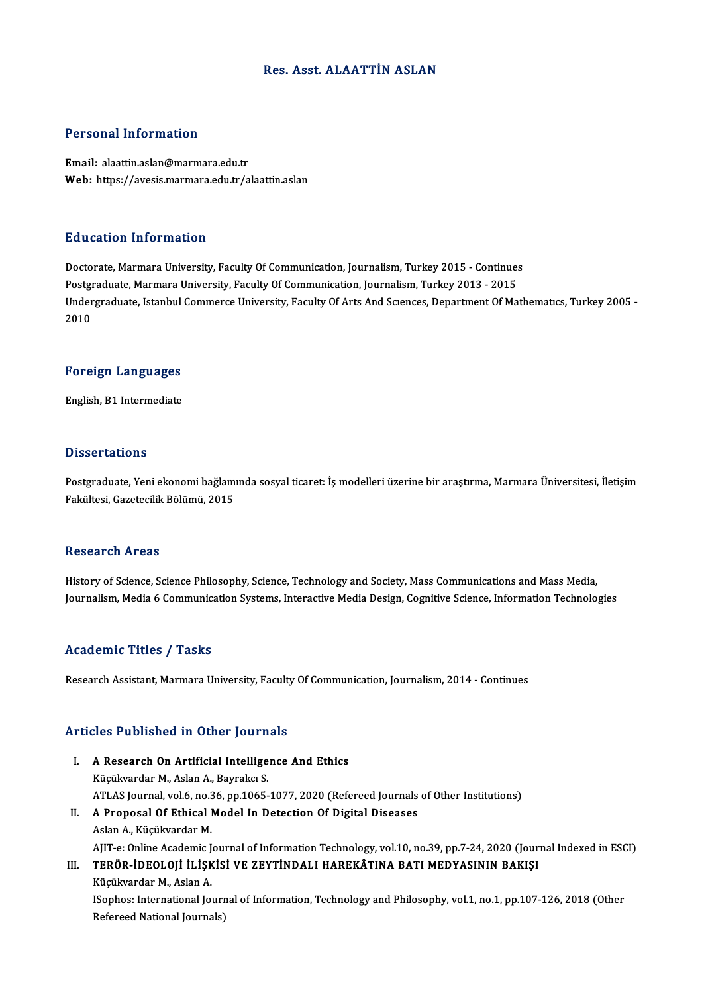### Res. Asst. ALAATTİN ASLAN

### Personal Information

Email: alaattin.aslan@marmara.edu.tr Web: https://avesis.marmara.edu.tr/alaattin.aslan

#### Education Information

Education Information<br>Doctorate, Marmara University, Faculty Of Communication, Journalism, Turkey 2015 - Continues<br>Postsraduate Marmara University, Faculty Of Communication, Journalism, Turkey 2013 - 2015 Put Sucrem Timot Interior<br>Doctorate, Marmara University, Faculty Of Communication, Journalism, Turkey 2015 - Continue:<br>Postgraduate, Marmara University, Faculty Of Communication, Journalism, Turkey 2013 - 2015<br>Undergraduat Doctorate, Marmara University, Faculty Of Communication, Journalism, Turkey 2015 - Continues<br>Postgraduate, Marmara University, Faculty Of Communication, Journalism, Turkey 2013 - 2015<br>Undergraduate, Istanbul Commerce Unive Postgi<br>Under<br>2010

# <sub>2010</sub><br>Foreign Languages F<mark>oreign Languages</mark><br>English, B1 Intermediate

English, B1 Intermediate<br>Dissertations

Dissertations<br>Postgraduate, Yeni ekonomi bağlamında sosyal ticaret: İş modelleri üzerine bir araştırma, Marmara Üniversitesi, İletişim<br>Fakültesi, Garetesilik Bölümü, 2015 2 1999 rattesi.<br>Postgraduate, Yeni ekonomi bağlamı<br>Fakültesi, Gazetecilik Bölümü, 2015 Fakültesi, Gazetecilik Bölümü, 2015<br>Research Areas

History of Science, Science Philosophy, Science, Technology and Society, Mass Communications and Mass Media, Journalism, Media 6 Communication Systems, Interactive Media Design, Cognitive Science, Information Technologies

#### Academic Titles / Tasks

Research Assistant, Marmara University, Faculty Of Communication, Journalism, 2014 - Continues

#### Articles Published in Other Journals

- I. A Research On Artificial Intelligence And Ethics Küçükvardar M., Aslan A., Bayrakcı S. A Research On Artificial Intelligence And Ethics<br>Küçükvardar M., Aslan A., Bayrakcı S.<br>ATLAS Journal, vol.6, no.36, pp.1065-1077, 2020 (Refereed Journals of Other Institutions)<br>A Bronessl Of Ethical Model In Detection Of D
- II. A Proposal Of Ethical Model In Detection Of Digital Diseases<br>Aslan A., Küçükvardar M. ATLAS Journal, vol.6, no.3<br>A Proposal Of Ethical I<br>Aslan A., Küçükvardar M.<br>AIIT e: Online Academia I A Proposal Of Ethical Model In Detection Of Digital Diseases<br>Aslan A., Küçükvardar M.<br>AJIT-e: Online Academic Journal of Information Technology, vol.10, no.39, pp.7-24, 2020 (Journal Indexed in ESCI)<br>TERÖR İDEOLOLİ İLİSKİS III. TERÖR-İDEOLOJI İLİŞKİSI VE ZEYTINDALI HAREKÂTINA BATI MEDYASININ BAKIŞI<br>Küçükvardar M., Aslan A. AJIT-e: Online Academic J<br><mark>TERÖR-İDEOLOJİ İLİŞK</mark><br>Küçükvardar M., Aslan A.<br>ISanbası International Io

ISophos: International Journal of Information, Technology and Philosophy, vol.1, no.1, pp.107-126, 2018 (Other Refereed National Journals)